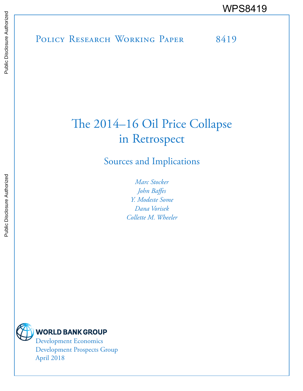POLICY RESEARCH WORKING PAPER 8419 WPS8419

# The 2014–16 Oil Price Collapse in Retrospect

# Sources and Implications

*Marc Stocker John Baffes Y. Modeste Some Dana Vorisek Collette M. Wheeler*



Development Economics Development Prospects Group April 2018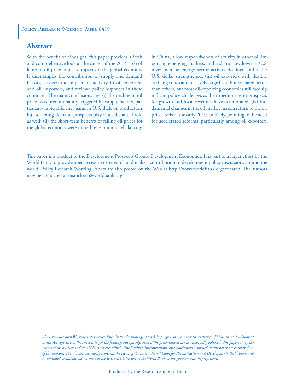### **Abstract**

With the benefit of hindsight, this paper provides a fresh and comprehensive look at the causes of the 2014–16 collapse in oil prices and its impact on the global economy. It disentangles the contribution of supply and demand factors, assesses the impact on activity in oil exporters and oil importers, and reviews policy responses in these countries. The main conclusions are: (i) the decline in oil prices was predominantly triggered by supply factors, particularly rapid efficiency gains in U.S. shale oil production, but softening demand prospects played a substantial role as well; (ii) the short-term benefits of falling oil prices for the global economy were muted by economic rebalancing

in China, a low responsiveness of activity in other oil-importing emerging markets, and a sharp slowdown in U.S. investment as energy sector activity declined and a the U.S. dollar strengthened; (iii) oil exporters with flexible exchange rates and relatively large fiscal buffers fared better than others, but most oil-exporting economies still face significant policy challenges as their medium-term prospects for growth and fiscal revenues have deteriorated; (iv) fundamental changes in the oil market make a return to the oil price levels of the early 2010s unlikely, pointing to the need for accelerated reforms, particularly among oil exporters.

*The Policy Research Working Paper Series disseminates the findings of work in progress to encourage the exchange of ideas about development*  issues. An objective of the series is to get the findings out quickly, even if the presentations are less than fully polished. The papers carry the *names of the authors and should be cited accordingly. The findings, interpretations, and conclusions expressed in this paper are entirely those of the authors. They do not necessarily represent the views of the International Bank for Reconstruction and Development/World Bank and its affiliated organizations, or those of the Executive Directors of the World Bank or the governments they represent.*

This paper is a product of the Development Prospects Group, Development Economics. It is part of a larger effort by the World Bank to provide open access to its research and make a contribution to development policy discussions around the world. Policy Research Working Papers are also posted on the Web at http://www.worldbank.org/research. The authors may be contacted at mstocker1@worldbank.org.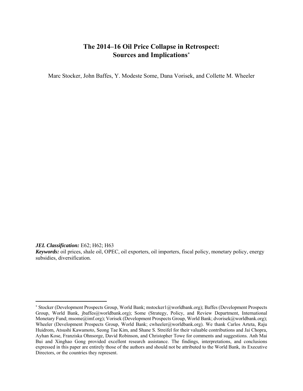## **The 2014–16 Oil Price Collapse in Retrospect: Sources and Implications**

Marc Stocker, John Baffes, Y. Modeste Some, Dana Vorisek, and Collette M. Wheeler

*JEL Classification:* E62; H62; H63

*Keywords:* oil prices, shale oil, OPEC, oil exporters, oil importers, fiscal policy, monetary policy, energy subsidies, diversification.

 Stocker (Development Prospects Group, World Bank; mstocker1@worldbank.org); Baffes (Development Prospects Group, World Bank, jbaffes@worldbank.org); Some (Strategy, Policy, and Review Department, International Monetary Fund; msome@imf.org); Vorisek (Development Prospects Group, World Bank; dvorisek@worldbank.org); Wheeler (Development Prospects Group, World Bank; cwheeler@worldbank.org). We thank Carlos Arteta, Raju Huidrom, Atsushi Kawamoto, Seong Tae Kim, and Shane S. Streifel for their valuable contributions and Jai Chopra, Ayhan Kose, Franziska Ohnsorge, David Robinson, and Christopher Towe for comments and suggestions. Anh Mai Bui and Xinghao Gong provided excellent research assistance. The findings, interpretations, and conclusions expressed in this paper are entirely those of the authors and should not be attributed to the World Bank, its Executive Directors, or the countries they represent.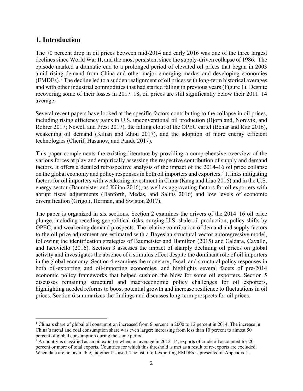### **1. Introduction**

1

The 70 percent drop in oil prices between mid-2014 and early 2016 was one of the three largest declines since World War II, and the most persistent since the supply-driven collapse of 1986. The episode marked a dramatic end to a prolonged period of elevated oil prices that began in 2003 amid rising demand from China and other major emerging market and developing economies  $(EMDEs).$ <sup>1</sup> The decline led to a sudden realignment of oil prices with long-term historical averages, and with other industrial commodities that had started falling in previous years (Figure 1). Despite recovering some of their losses in 2017–18, oil prices are still significantly below their 2011–14 average.

Several recent papers have looked at the specific factors contributing to the collapse in oil prices, including rising efficiency gains in U.S. unconventional oil production (Bjørnland, Nordvik, and Rohrer 2017; Newell and Prest 2017), the falling clout of the OPEC cartel (Behar and Ritz 2016), weakening oil demand (Kilian and Zhou 2017), and the adoption of more energy efficient technologies (Cherif, Hasanov, and Pande 2017).

This paper complements the existing literature by providing a comprehensive overview of the various forces at play and empirically assessing the respective contribution of supply and demand factors. It offers a detailed retrospective analysis of the impact of the 2014–16 oil price collapse on the global economy and policy responses in both oil importers and exporters.<sup>2</sup> It links mitigating factors for oil importers with weakening investment in China (Kang and Liao 2016) and in the U.S. energy sector (Baumeister and Kilian 2016), as well as aggravating factors for oil exporters with abrupt fiscal adjustments (Danforth, Medas, and Salins 2016) and low levels of economic diversification (Grigoli, Herman, and Swiston 2017).

The paper is organized in six sections. Section 2 examines the drivers of the 2014–16 oil price plunge, including receding geopolitical risks, surging U.S. shale oil production, policy shifts by OPEC, and weakening demand prospects. The relative contribution of demand and supply factors to the oil price adjustment are estimated with a Bayesian structural vector autoregressive model, following the identification strategies of Baumeister and Hamilton (2015) and Caldara, Cavallo, and Iacoviello (2016). Section 3 assesses the impact of sharply declining oil prices on global activity and investigates the absence of a stimulus effect despite the dominant role of oil importers in the global economy. Section 4 examines the monetary, fiscal, and structural policy responses in both oil-exporting and oil-importing economies, and highlights several facets of pre-2014 economic policy frameworks that helped cushion the blow for some oil exporters. Section 5 discusses remaining structural and macroeconomic policy challenges for oil exporters, highlighting needed reforms to boost potential growth and increase resilience to fluctuations in oil prices. Section 6 summarizes the findings and discusses long-term prospects for oil prices.

<sup>&</sup>lt;sup>1</sup> China's share of global oil consumption increased from 6 percent in 2000 to 12 percent in 2014. The increase in China's metal and coal consumption share was even larger: increasing from less than 10 percent to almost 50 percent of global consumption during the same period.

 $2$  A country is classified as an oil exporter when, on average in 2012–14, exports of crude oil accounted for 20 percent or more of total exports. Countries for which this threshold is met as a result of re-exports are excluded. When data are not available, judgment is used. The list of oil-exporting EMDEs is presented in Appendix 1.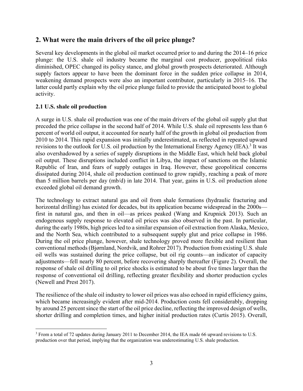### **2. What were the main drivers of the oil price plunge?**

Several key developments in the global oil market occurred prior to and during the 2014–16 price plunge: the U.S. shale oil industry became the marginal cost producer, geopolitical risks diminished, OPEC changed its policy stance, and global growth prospects deteriorated. Although supply factors appear to have been the dominant force in the sudden price collapse in 2014, weakening demand prospects were also an important contributor, particularly in 2015–16. The latter could partly explain why the oil price plunge failed to provide the anticipated boost to global activity.

### **2.1 U.S. shale oil production**

 $\overline{a}$ 

A surge in U.S. shale oil production was one of the main drivers of the global oil supply glut that preceded the price collapse in the second half of 2014. While U.S. shale oil represents less than 6 percent of world oil output, it accounted for nearly half of the growth in global oil production from 2010 to 2014. This rapid expansion was initially underestimated, as reflected in repeated upward revisions to the outlook for U.S. oil production by the International Energy Agency (IEA).<sup>3</sup> It was also overshadowed by a series of supply disruptions in the Middle East, which held back global oil output. These disruptions included conflict in Libya, the impact of sanctions on the Islamic Republic of Iran, and fears of supply outages in Iraq. However, these geopolitical concerns dissipated during 2014, shale oil production continued to grow rapidly, reaching a peak of more than 5 million barrels per day (mb/d) in late 2014. That year, gains in U.S. oil production alone exceeded global oil demand growth.

The technology to extract natural gas and oil from shale formations (hydraulic fracturing and horizontal drilling) has existed for decades, but its application became widespread in the 2000s first in natural gas, and then in oil—as prices peaked (Wang and Krupnick 2013). Such an endogenous supply response to elevated oil prices was also observed in the past. In particular, during the early 1980s, high prices led to a similar expansion of oil extraction from Alaska, Mexico, and the North Sea, which contributed to a subsequent supply glut and price collapse in 1986. During the oil price plunge, however, shale technology proved more flexible and resilient than conventional methods (Bjørnland, Nordvik, and Rohrer 2017). Production from existing U.S. shale oil wells was sustained during the price collapse, but oil rig counts—an indicator of capacity adjustments—fell nearly 80 percent, before recovering sharply thereafter (Figure 2). Overall, the response of shale oil drilling to oil price shocks is estimated to be about five times larger than the response of conventional oil drilling, reflecting greater flexibility and shorter production cycles (Newell and Prest 2017).

The resilience of the shale oil industry to lower oil prices was also echoed in rapid efficiency gains, which became increasingly evident after mid-2014. Production costs fell considerably, dropping by around 25 percent since the start of the oil price decline, reflecting the improved design of wells, shorter drilling and completion times, and higher initial production rates (Curtis 2015). Overall,

<sup>&</sup>lt;sup>3</sup> From a total of 72 updates during January 2011 to December 2014, the IEA made 66 upward revisions to U.S. production over that period, implying that the organization was underestimating U.S. shale production.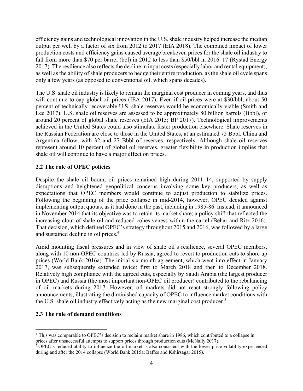efficiency gains and technological innovation in the U.S. shale industry helped increase the median output per well by a factor of six from 2012 to 2017 (EIA 2018). The combined impact of lower production costs and efficiency gains caused average breakeven prices for the shale oil industry to fall from more than \$70 per barrel (bbl) in 2012 to less than \$50/bbl in 2016–17 (Rystad Energy 2017). The resilience also reflects the decline in input costs (especially labor and rental equipment), as well as the ability of shale producers to hedge their entire production, as the shale oil cycle spans only a few years (as opposed to conventional oil, which spans decades).

The U.S. shale oil industry is likely to remain the marginal cost producer in coming years, and thus will continue to cap global oil prices (IEA 2017). Even if oil prices were at \$30/bbl, about 50 percent of technically recoverable U.S. shale reserves would be economically viable (Smith and Lee 2017). U.S. shale oil reserves are assessed to be approximately 80 billion barrels (Bbbl), or around 20 percent of global shale reserves (EIA 2015; BP 2017). Technological improvements achieved in the United States could also stimulate faster production elsewhere. Shale reserves in the Russian Federation are close to those in the United States, at an estimated 75 Bbbl. China and Argentina follow, with 32 and 27 Bbbl of reserves, respectively. Although shale oil reserves represent around 10 percent of global oil reserves, greater flexibility in production implies that shale oil will continue to have a major effect on prices.

### **2.2 The role of OPEC policies**

Despite the shale oil boom, oil prices remained high during 2011–14, supported by supply disruptions and heightened geopolitical concerns involving some key producers, as well as expectations that OPEC members would continue to adjust production to stabilize prices. Following the beginning of the price collapse in mid-2014, however, OPEC decided against implementing output quotas, as it had done in the past, including in 1985-86. Instead, it announced in November 2014 that its objective was to retain its market share; a policy shift that reflected the increasing clout of shale oil and reduced cohesiveness within the cartel (Behar and Ritz 2016). That decision, which defined OPEC's strategy throughout 2015 and 2016, was followed by a large and sustained decline in oil prices.4

Amid mounting fiscal pressures and in view of shale oil's resilience, several OPEC members, along with 10 non-OPEC countries led by Russia, agreed to revert to production cuts to shore up prices (World Bank 2016a). The initial six-month agreement, which went into effect in January 2017, was subsequently extended twice: first to March 2018 and then to December 2018. Relatively high compliance with the agreed cuts, especially by Saudi Arabia (the largest producer in OPEC) and Russia (the most important non-OPEC oil producer) contributed to the rebalancing of oil markets during 2017. However, oil markets did not react strongly following policy announcements, illustrating the diminished capacity of OPEC to influence market conditions with the U.S. shale oil industry effectively acting as the new marginal cost producer.<sup>5</sup>

### **2.3 The role of demand conditions**

 $\overline{a}$ 

<sup>4</sup> This was comparable to OPEC's decision to reclaim market share in 1986, which contributed to a collapse in

prices after unsuccessful attempts to support prices through production cuts (McNally 2017).<br><sup>5</sup> OPEC's reduced ability to influence the oil market is also consistent with the lower price volatility experienced during and after the 2014 collapse (World Bank 2015a; Baffes and Kshirsagar 2015).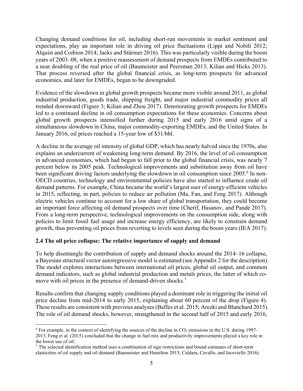Changing demand conditions for oil, including short-run movements in market sentiment and expectations, play an important role in driving oil price fluctuations (Lippi and Nobili 2012; Alquist and Coibion 2014; Jacks and Stürmer 2016). This was particularly visible during the boom years of 2003–08, when a positive reassessment of demand prospects from EMDEs contributed to a near doubling of the real price of oil (Baumeister and Peersman 2013; Kilian and Hicks 2013). That process reversed after the global financial crisis, as long-term prospects for advanced economies, and later for EMDEs, began to be downgraded.

Evidence of the slowdown in global growth prospects became more visible around 2011, as global industrial production, goods trade, shipping freight, and major industrial commodity prices all trended downward (Figure 3; Kilian and Zhou 2017). Deteriorating growth prospects for EMDEs led to a continued decline in oil consumption expectations for these economies. Concerns about global growth prospects intensified further during 2015 and early 2016 amid signs of a simultaneous slowdown in China, major commodity-exporting EMDEs, and the United States. In January 2016, oil prices reached a 15-year low of \$31/bbl.

A decline in the average oil intensity of global GDP, which has nearly halved since the 1970s, also explains an undercurrent of weakening long-term demand. By 2016, the level of oil consumption in advanced economies, which had begun to fall prior to the global financial crisis, was nearly 7 percent below its 2005 peak. Technological improvements and substitution away from oil have been significant driving factors underlying the slowdown in oil consumption since 2005.<sup>6</sup> In non-OECD countries, technology and environmental policies have also started to influence crude oil demand patterns. For example, China became the world's largest user of energy-efficient vehicles in 2015, reflecting, in part, policies to reduce air pollution (Ma, Fan, and Feng 2017). Although electric vehicles continue to account for a low share of global transportation, they could become an important force affecting oil demand prospects over time (Cherif, Hasanov, and Pande 2017). From a long-term perspective, technological improvements on the consumption side, along with policies to limit fossil fuel usage and increase energy efficiency, are likely to constrain demand growth, thus preventing oil prices from reverting to levels seen during the boom years (IEA 2017).

### **2.4 The oil price collapse: The relative importance of supply and demand**

 $\overline{a}$ 

To help disentangle the contribution of supply and demand shocks around the 2014–16 collapse, a Bayesian structural vector autoregressive model is estimated (see Appendix 2 for the description). The model explores interactions between international oil prices, global oil output, and common demand indicators, such as global industrial production and metals prices, the latter of which comove with oil prices in the presence of demand-driven shocks.<sup>7</sup>

Results confirm that changing supply conditions played a dominant role in triggering the initial oil price decline from mid-2014 to early 2015, explaining about 60 percent of the drop (Figure 4). These results are consistent with previous analyses (Baffes et al. 2015; Arezki and Blanchard 2015). The role of oil demand shocks, however, strengthened in the second half of 2015 and early 2016,

 $6$  For example, in the context of identifying the sources of the decline in  $CO_2$  emissions in the U.S. during 1997– 2013, Feng et al. (2015) concluded that the change in fuel mix and productivity improvements played a key role in the lower use of oil.

<sup>7</sup> The selected identification method uses a combination of sign restrictions and bound estimates of short-term elasticities of oil supply and oil demand (Baumeister and Hamilton 2015; Caldara, Cavallo, and Iacoviello 2016).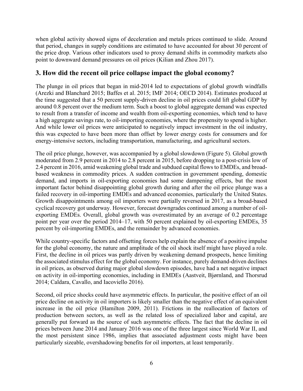when global activity showed signs of deceleration and metals prices continued to slide. Around that period, changes in supply conditions are estimated to have accounted for about 30 percent of the price drop. Various other indicators used to proxy demand shifts in commodity markets also point to downward demand pressures on oil prices (Kilian and Zhou 2017).

### **3. How did the recent oil price collapse impact the global economy?**

The plunge in oil prices that began in mid-2014 led to expectations of global growth windfalls (Arezki and Blanchard 2015; Baffes et al. 2015; IMF 2014; OECD 2014). Estimates produced at the time suggested that a 50 percent supply-driven decline in oil prices could lift global GDP by around 0.8 percent over the medium term. Such a boost to global aggregate demand was expected to result from a transfer of income and wealth from oil-exporting economies, which tend to have a high aggregate savings rate, to oil-importing economies, where the propensity to spend is higher. And while lower oil prices were anticipated to negatively impact investment in the oil industry, this was expected to have been more than offset by lower energy costs for consumers and for energy-intensive sectors, including transportation, manufacturing, and agricultural sectors.

The oil price plunge, however, was accompanied by a global slowdown (Figure 5). Global growth moderated from 2.9 percent in 2014 to 2.8 percent in 2015, before dropping to a post-crisis low of 2.4 percent in 2016, amid weakening global trade and subdued capital flows to EMDEs, and broadbased weakness in commodity prices. A sudden contraction in government spending, domestic demand, and imports in oil-exporting economies had some dampening effects, but the most important factor behind disappointing global growth during and after the oil price plunge was a failed recovery in oil-importing EMDEs and advanced economies, particularly the United States. Growth disappointments among oil importers were partially reversed in 2017, as a broad-based cyclical recovery got underway. However, forecast downgrades continued among a number of oilexporting EMDEs. Overall, global growth was overestimated by an average of 0.2 percentage point per year over the period 2014–17, with 50 percent explained by oil-exporting EMDEs, 35 percent by oil-importing EMDEs, and the remainder by advanced economies.

While country-specific factors and offsetting forces help explain the absence of a positive impulse for the global economy, the nature and amplitude of the oil shock itself might have played a role. First, the decline in oil prices was partly driven by weakening demand prospects, hence limiting the associated stimulus effect for the global economy. For instance, purely demand-driven declines in oil prices, as observed during major global slowdown episodes, have had a net negative impact on activity in oil-importing economies, including in EMDEs (Aastveit, Bjørnland, and Thorsrud 2014; Caldara, Cavallo, and Iacoviello 2016).

Second, oil price shocks could have asymmetric effects. In particular, the positive effect of an oil price decline on activity in oil importers is likely smaller than the negative effect of an equivalent increase in the oil price (Hamilton 2009, 2011). Frictions in the reallocation of factors of production between sectors, as well as the related loss of specialized labor and capital, are generally put forward as the source of such asymmetric effects. The fact that the decline in oil prices between June 2014 and January 2016 was one of the three largest since World War II, and the most persistent since 1986, implies that associated adjustment costs might have been particularly sizeable, overshadowing benefits for oil importers, at least temporarily.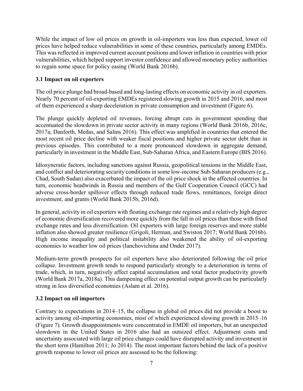While the impact of low oil prices on growth in oil-importers was less than expected, lower oil prices have helped reduce vulnerabilities in some of these countries, particularly among EMDEs. This was reflected in improved current account positions and lower inflation in countries with prior vulnerabilities, which helped support investor confidence and allowed monetary policy authorities to regain some space for policy easing (World Bank 2016b).

### **3.1 Impact on oil exporters**

The oil price plunge had broad-based and long-lasting effects on economic activity in oil exporters. Nearly 70 percent of oil-exporting EMDEs registered slowing growth in 2015 and 2016, and most of them experienced a sharp deceleration in private consumption and investment (Figure 6).

The plunge quickly depleted oil revenues, forcing abrupt cuts in government spending that accentuated the slowdown in private sector activity in many regions (World Bank 2016b, 2016c, 2017a; Danforth, Medas, and Salins 2016). This effect was amplified in countries that entered the most recent oil price decline with weaker fiscal positions and higher private sector debt than in previous episodes. This contributed to a more pronounced slowdown in aggregate demand, particularly in investment in the Middle East, Sub-Saharan Africa, and Eastern Europe (BIS 2016).

Idiosyncratic factors, including sanctions against Russia, geopolitical tensions in the Middle East, and conflict and deteriorating security conditions in some low-income Sub-Saharan producers (e.g., Chad, South Sudan) also exacerbated the impact of the oil price shock in the affected countries. In turn, economic headwinds in Russia and members of the Gulf Cooperation Council (GCC) had adverse cross-border spillover effects through reduced trade flows, remittances, foreign direct investment, and grants (World Bank 2015b, 2016d).

In general, activity in oil exporters with floating exchange rate regimes and a relatively high degree of economic diversification recovered more quickly from the fall in oil prices than those with fixed exchange rates and less diversification. Oil exporters with large foreign reserves and more stable inflation also showed greater resilience (Grigoli, Herman, and Swiston 2017; World Bank 2016b). High income inequality and political instability also weakened the ability of oil-exporting economies to weather low oil prices (Ianchovichina and Onder 2017).

Medium-term growth prospects for oil exporters have also deteriorated following the oil price collapse. Investment growth tends to respond particularly strongly to a deterioration in terms of trade, which, in turn, negatively affect capital accumulation and total factor productivity growth (World Bank 2017a, 2018a). This dampening effect on potential output growth can be particularly strong in less diversified economies (Aslam et al. 2016).

### **3.2 Impact on oil importers**

Contrary to expectations in 2014–15, the collapse in global oil prices did not provide a boost to activity among oil-importing economies, most of which experienced slowing growth in 2015–16 (Figure 7). Growth disappointments were concentrated in EMDE oil importers, but an unexpected slowdown in the United States in 2016 also had an outsized effect. Adjustment costs and uncertainty associated with large oil price changes could have disrupted activity and investment in the short term (Hamilton 2011; Jo 2014). The most important factors behind the lack of a positive growth response to lower oil prices are assessed to be the following: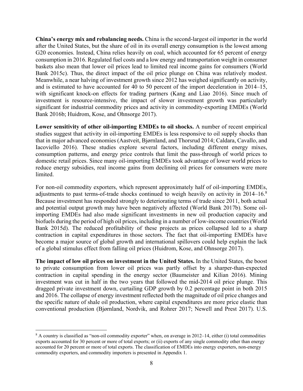**China's energy mix and rebalancing needs.** China is the second-largest oil importer in the world after the United States, but the share of oil in its overall energy consumption is the lowest among G20 economies. Instead, China relies heavily on coal, which accounted for 65 percent of energy consumption in 2016. Regulated fuel costs and a low energy and transportation weight in consumer baskets also mean that lower oil prices lead to limited real income gains for consumers (World Bank 2015c). Thus, the direct impact of the oil price plunge on China was relatively modest. Meanwhile, a near halving of investment growth since 2012 has weighed significantly on activity, and is estimated to have accounted for 40 to 50 percent of the import deceleration in 2014–15, with significant knock-on effects for trading partners (Kang and Liao 2016). Since much of investment is resource-intensive, the impact of slower investment growth was particularly significant for industrial commodity prices and activity in commodity-exporting EMDEs (World Bank 2016b; Huidrom, Kose, and Ohnsorge 2017).

**Lower sensitivity of other oil-importing EMDEs to oil shocks.** A number of recent empirical studies suggest that activity in oil-importing EMDEs is less responsive to oil supply shocks than that in major advanced economies (Aastveit, Bjørnland, and Thorsrud 2014; Caldara, Cavallo, and Iacoviello 2016). These studies explore several factors, including different energy mixes, consumption patterns, and energy price controls that limit the pass-through of world prices to domestic retail prices. Since many oil-importing EMDEs took advantage of lower world prices to reduce energy subsidies, real income gains from declining oil prices for consumers were more limited.

For non-oil commodity exporters, which represent approximately half of oil-importing EMDEs, adjustments to past terms-of-trade shocks continued to weigh heavily on activity in 2014–16.<sup>8</sup> Because investment has responded strongly to deteriorating terms of trade since 2011, both actual and potential output growth may have been negatively affected (World Bank 2017b). Some oilimporting EMDEs had also made significant investments in new oil production capacity and biofuels during the period of high oil prices, including in a number of low-income countries (World Bank 2015d). The reduced profitability of these projects as prices collapsed led to a sharp contraction in capital expenditures in those sectors. The fact that oil-importing EMDEs have become a major source of global growth and international spillovers could help explain the lack of a global stimulus effect from falling oil prices (Huidrom, Kose, and Ohnsorge 2017).

**The impact of low oil prices on investment in the United States.** In the United States, the boost to private consumption from lower oil prices was partly offset by a sharper-than-expected contraction in capital spending in the energy sector (Baumeister and Kilian 2016). Mining investment was cut in half in the two years that followed the mid-2014 oil price plunge. This dragged private investment down, curtailing GDP growth by 0.2 percentage point in both 2015 and 2016. The collapse of energy investment reflected both the magnitude of oil price changes and the specific nature of shale oil production, where capital expenditures are more price elastic than conventional production (Bjørnland, Nordvik, and Rohrer 2017; Newell and Prest 2017). U.S.

1

<sup>&</sup>lt;sup>8</sup> A country is classified as "non-oil commodity exporter" when, on average in 2012–14, either (i) total commodities exports accounted for 30 percent or more of total exports; or (ii) exports of any single commodity other than energy accounted for 20 percent or more of total exports. The classification of EMDEs into energy exporters, non-energy commodity exporters, and commodity importers is presented in Appendix 1.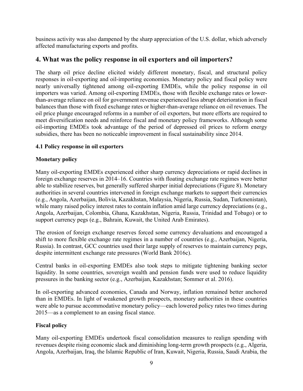business activity was also dampened by the sharp appreciation of the U.S. dollar, which adversely affected manufacturing exports and profits.

### **4. What was the policy response in oil exporters and oil importers?**

The sharp oil price decline elicited widely different monetary, fiscal, and structural policy responses in oil-exporting and oil-importing economies. Monetary policy and fiscal policy were nearly universally tightened among oil-exporting EMDEs, while the policy response in oil importers was varied. Among oil-exporting EMDEs, those with flexible exchange rates or lowerthan-average reliance on oil for government revenue experienced less abrupt deterioration in fiscal balances than those with fixed exchange rates or higher-than-average reliance on oil revenues. The oil price plunge encouraged reforms in a number of oil exporters, but more efforts are required to meet diversification needs and reinforce fiscal and monetary policy frameworks. Although some oil-importing EMDEs took advantage of the period of depressed oil prices to reform energy subsidies, there has been no noticeable improvement in fiscal sustainability since 2014.

### **4.1 Policy response in oil exporters**

### **Monetary policy**

Many oil-exporting EMDEs experienced either sharp currency depreciations or rapid declines in foreign exchange reserves in 2014–16. Countries with floating exchange rate regimes were better able to stabilize reserves, but generally suffered sharper initial depreciations (Figure 8). Monetary authorities in several countries intervened in foreign exchange markets to support their currencies (e.g., Angola, Azerbaijan, Bolivia, Kazakhstan, Malaysia, Nigeria, Russia, Sudan, Turkmenistan), while many raised policy interest rates to contain inflation amid large currency depreciations (e.g., Angola, Azerbaijan, Colombia, Ghana, Kazakhstan, Nigeria, Russia, Trinidad and Tobago) or to support currency pegs (e.g., Bahrain, Kuwait, the United Arab Emirates).

The erosion of foreign exchange reserves forced some currency devaluations and encouraged a shift to more flexible exchange rate regimes in a number of countries (e.g., Azerbaijan, Nigeria, Russia). In contrast, GCC countries used their large supply of reserves to maintain currency pegs, despite intermittent exchange rate pressures (World Bank 2016c).

Central banks in oil-exporting EMDEs also took steps to mitigate tightening banking sector liquidity. In some countries, sovereign wealth and pension funds were used to reduce liquidity pressures in the banking sector (e.g., Azerbaijan, Kazakhstan; Sommer et al. 2016).

In oil-exporting advanced economies, Canada and Norway, inflation remained better anchored than in EMDEs. In light of weakened growth prospects, monetary authorities in these countries were able to pursue accommodative monetary policy—each lowered policy rates two times during 2015—as a complement to an easing fiscal stance.

### **Fiscal policy**

Many oil-exporting EMDEs undertook fiscal consolidation measures to realign spending with revenues despite rising economic slack and diminishing long-term growth prospects (e.g., Algeria, Angola, Azerbaijan, Iraq, the Islamic Republic of Iran, Kuwait, Nigeria, Russia, Saudi Arabia, the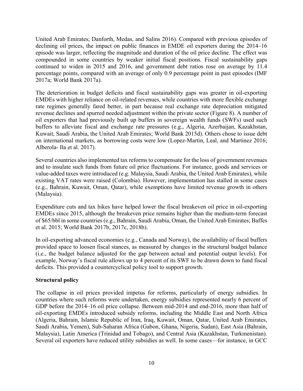United Arab Emirates; Danforth, Medas, and Salins 2016). Compared with previous episodes of declining oil prices, the impact on public finances in EMDE oil exporters during the 2014–16 episode was larger, reflecting the magnitude and duration of the oil price decline. The effect was compounded in some countries by weaker initial fiscal positions. Fiscal sustainability gaps continued to widen in 2015 and 2016, and government debt ratios rose on average by 11.4 percentage points, compared with an average of only 0.9 percentage point in past episodes (IMF 2017a; World Bank 2017a).

The deterioration in budget deficits and fiscal sustainability gaps was greater in oil-exporting EMDEs with higher reliance on oil-related revenues, while countries with more flexible exchange rate regimes generally fared better, in part because real exchange rate depreciation mitigated revenue declines and spurred needed adjustment within the private sector (Figure 8). A number of oil exporters that had previously built up buffers in sovereign wealth funds (SWFs) used such buffers to alleviate fiscal and exchange rate pressures (e.g., Algeria, Azerbaijan, Kazakhstan, Kuwait, Saudi Arabia, the United Arab Emirates; World Bank 2015d). Others chose to issue debt on international markets, as borrowing costs were low (Lopez-Martin, Leal, and Martinez 2016; Alberola- Ila et al. 2017).

Several countries also implemented tax reforms to compensate for the loss of government revenues and to insulate such funds from future oil price fluctuations. For instance, goods and services or value-added taxes were introduced (e.g. Malaysia, Saudi Arabia, the United Arab Emirates), while existing VAT rates were raised (Colombia). However, implementation has stalled in some cases (e.g., Bahrain, Kuwait, Oman, Qatar), while exemptions have limited revenue growth in others (Malaysia).

Expenditure cuts and tax hikes have helped lower the fiscal breakeven oil price in oil-exporting EMDEs since 2015, although the breakeven price remains higher than the medium-term forecast of \$65/bbl in some countries (e.g., Bahrain, Saudi Arabia, Oman, the United Arab Emirates; Baffes et al. 2015; World Bank 2017b, 2017c, 2018b).

In oil-exporting advanced economies (e.g., Canada and Norway), the availability of fiscal buffers provided space to loosen fiscal stances, as measured by changes in the structural budget balance (i.e., the budget balance adjusted for the gap between actual and potential output levels). For example, Norway's fiscal rule allows up to 4 percent of its SWF to be drawn down to fund fiscal deficits. This provided a countercyclical policy tool to support growth.

### **Structural policy**

The collapse in oil prices provided impetus for reforms, particularly of energy subsidies. In countries where such reforms were undertaken, energy subsidies represented nearly 6 percent of GDP before the 2014–16 oil price collapse. Between mid-2014 and end-2016, more than half of oil-exporting EMDEs introduced subsidy reforms, including the Middle East and North Africa (Algeria, Bahrain, Islamic Republic of Iran, Iraq, Kuwait, Oman, Qatar, United Arab Emirates, Saudi Arabia, Yemen), Sub-Saharan Africa (Gabon, Ghana, Nigeria, Sudan), East Asia (Bahrain, Malaysia), Latin America (Trinidad and Tobago), and Central Asia (Kazakhstan, Turkmenistan). Several oil exporters have reduced utility subsidies as well. In some cases—for instance, in GCC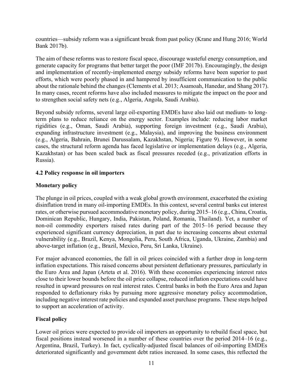countries—subsidy reform was a significant break from past policy (Krane and Hung 2016; World Bank 2017b).

The aim of these reforms was to restore fiscal space, discourage wasteful energy consumption, and generate capacity for programs that better target the poor (IMF 2017b). Encouragingly, the design and implementation of recently-implemented energy subsidy reforms have been superior to past efforts, which were poorly phased in and hampered by insufficient communication to the public about the rationale behind the changes (Clements et al. 2013; Asamoah, Hanedar, and Shang 2017). In many cases, recent reforms have also included measures to mitigate the impact on the poor and to strengthen social safety nets (e.g., Algeria, Angola, Saudi Arabia).

Beyond subsidy reforms, several large oil-exporting EMDEs have also laid out medium- to longterm plans to reduce reliance on the energy sector. Examples include: reducing labor market rigidities (e.g., Oman, Saudi Arabia), supporting foreign investment (e.g., Saudi Arabia), expanding infrastructure investment (e.g., Malaysia), and improving the business environment (e.g., Algeria, Bahrain, Brunei Darussalam, Kazakhstan, Nigeria; Figure 9). However, in some cases, the structural reform agenda has faced legislative or implementation delays (e.g., Algeria, Kazakhstan) or has been scaled back as fiscal pressures receded (e.g., privatization efforts in Russia).

### **4.2 Policy response in oil importers**

### **Monetary policy**

The plunge in oil prices, coupled with a weak global growth environment, exacerbated the existing disinflation trend in many oil-importing EMDEs. In this context, several central banks cut interest rates, or otherwise pursued accommodative monetary policy, during 2015–16 (e.g., China, Croatia, Dominican Republic, Hungary, India, Pakistan, Poland, Romania, Thailand). Yet, a number of non-oil commodity exporters raised rates during part of the 2015–16 period because they experienced significant currency depreciation, in part due to increasing concerns about external vulnerability (e.g., Brazil, Kenya, Mongolia, Peru, South Africa, Uganda, Ukraine, Zambia) and above-target inflation (e.g., Brazil, Mexico, Peru, Sri Lanka, Ukraine).

For major advanced economies, the fall in oil prices coincided with a further drop in long-term inflation expectations. This raised concerns about persistent deflationary pressures, particularly in the Euro Area and Japan (Arteta et al. 2016). With these economies experiencing interest rates close to their lower bounds before the oil price collapse, reduced inflation expectations could have resulted in upward pressures on real interest rates. Central banks in both the Euro Area and Japan responded to deflationary risks by pursuing more aggressive monetary policy accommodation, including negative interest rate policies and expanded asset purchase programs. These steps helped to support an acceleration of activity.

### **Fiscal policy**

Lower oil prices were expected to provide oil importers an opportunity to rebuild fiscal space, but fiscal positions instead worsened in a number of these countries over the period 2014–16 (e.g., Argentina, Brazil, Turkey). In fact, cyclically-adjusted fiscal balances of oil-importing EMDEs deteriorated significantly and government debt ratios increased. In some cases, this reflected the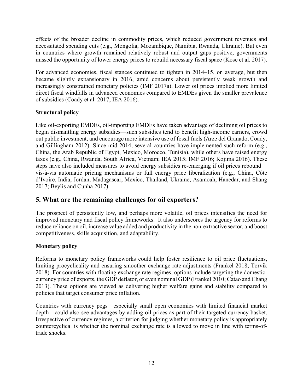effects of the broader decline in commodity prices, which reduced government revenues and necessitated spending cuts (e.g., Mongolia, Mozambique, Namibia, Rwanda, Ukraine). But even in countries where growth remained relatively robust and output gaps positive, governments missed the opportunity of lower energy prices to rebuild necessary fiscal space (Kose et al. 2017).

For advanced economies, fiscal stances continued to tighten in 2014–15, on average, but then became slightly expansionary in 2016, amid concerns about persistently weak growth and increasingly constrained monetary policies (IMF 2017a). Lower oil prices implied more limited direct fiscal windfalls in advanced economies compared to EMDEs given the smaller prevalence of subsidies (Coady et al. 2017; IEA 2016).

### **Structural policy**

Like oil-exporting EMDEs, oil-importing EMDEs have taken advantage of declining oil prices to begin dismantling energy subsidies—such subsidies tend to benefit high-income earners, crowd out public investment, and encourage more intensive use of fossil fuels (Arze del Granado, Coady, and Gillingham 2012). Since mid-2014, several countries have implemented such reform (e.g., China, the Arab Republic of Egypt, Mexico, Morocco, Tunisia), while others have raised energy taxes (e.g., China, Rwanda, South Africa, Vietnam; IEA 2015; IMF 2016; Kojima 2016). These steps have also included measures to avoid energy subsidies re-emerging if oil prices rebound vis-à-vis automatic pricing mechanisms or full energy price liberalization (e.g., China, Côte d'Ivoire, India, Jordan, Madagascar, Mexico, Thailand, Ukraine; Asamoah, Hanedar, and Shang 2017; Beylis and Cunha 2017).

### **5. What are the remaining challenges for oil exporters?**

The prospect of persistently low, and perhaps more volatile, oil prices intensifies the need for improved monetary and fiscal policy frameworks. It also underscores the urgency for reforms to reduce reliance on oil, increase value added and productivity in the non-extractive sector, and boost competitiveness, skills acquisition, and adaptability.

### **Monetary policy**

Reforms to monetary policy frameworks could help foster resilience to oil price fluctuations, limiting procyclicality and ensuring smoother exchange rate adjustments (Frankel 2018; Torvik 2018). For countries with floating exchange rate regimes, options include targeting the domesticcurrency price of exports, the GDP deflator, or even nominal GDP (Frankel 2010; Catao and Chang 2013). These options are viewed as delivering higher welfare gains and stability compared to policies that target consumer price inflation.

Countries with currency pegs—especially small open economies with limited financial market depth—could also see advantages by adding oil prices as part of their targeted currency basket. Irrespective of currency regimes, a criterion for judging whether monetary policy is appropriately countercyclical is whether the nominal exchange rate is allowed to move in line with terms-oftrade shocks.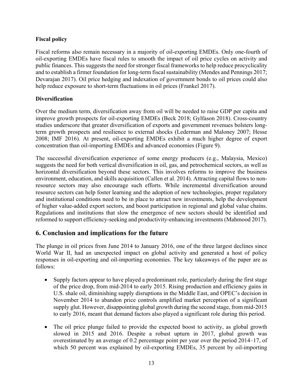### **Fiscal policy**

Fiscal reforms also remain necessary in a majority of oil-exporting EMDEs. Only one-fourth of oil-exporting EMDEs have fiscal rules to smooth the impact of oil price cycles on activity and public finances. This suggests the need for stronger fiscal frameworks to help reduce procyclicality and to establish a firmer foundation for long-term fiscal sustainability (Mendes and Pennings 2017; Devarajan 2017). Oil price hedging and indexation of government bonds to oil prices could also help reduce exposure to short-term fluctuations in oil prices (Frankel 2017).

### **Diversification**

Over the medium term, diversification away from oil will be needed to raise GDP per capita and improve growth prospects for oil-exporting EMDEs (Beck 2018; Gylfason 2018). Cross-country studies underscore that greater diversification of exports and government revenues bolsters longterm growth prospects and resilience to external shocks (Lederman and Maloney 2007; Hesse 2008; IMF 2016). At present, oil-exporting EMDEs exhibit a much higher degree of export concentration than oil-importing EMDEs and advanced economies (Figure 9).

The successful diversification experience of some energy producers (e.g., Malaysia, Mexico) suggests the need for both vertical diversification in oil, gas, and petrochemical sectors, as well as horizontal diversification beyond these sectors. This involves reforms to improve the business environment, education, and skills acquisition (Callen et al. 2014). Attracting capital flows to nonresource sectors may also encourage such efforts. While incremental diversification around resource sectors can help foster learning and the adoption of new technologies, proper regulatory and institutional conditions need to be in place to attract new investments, help the development of higher value-added export sectors, and boost participation in regional and global value chains. Regulations and institutions that slow the emergence of new sectors should be identified and reformed to support efficiency-seeking and productivity-enhancing investments (Mahmood 2017).

### **6. Conclusion and implications for the future**

The plunge in oil prices from June 2014 to January 2016, one of the three largest declines since World War II, had an unexpected impact on global activity and generated a host of policy responses in oil-exporting and oil-importing economies. The key takeaways of the paper are as follows:

- Supply factors appear to have played a predominant role, particularly during the first stage of the price drop, from mid-2014 to early 2015. Rising production and efficiency gains in U.S. shale oil, diminishing supply disruptions in the Middle East, and OPEC's decision in November 2014 to abandon price controls amplified market perception of a significant supply glut. However, disappointing global growth during the second stage, from mid-2015 to early 2016, meant that demand factors also played a significant role during this period.
- The oil price plunge failed to provide the expected boost to activity, as global growth slowed in 2015 and 2016. Despite a robust upturn in 2017, global growth was overestimated by an average of 0.2 percentage point per year over the period 2014–17, of which 50 percent was explained by oil-exporting EMDEs, 35 percent by oil-importing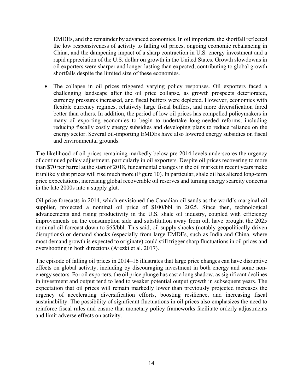EMDEs, and the remainder by advanced economies. In oil importers, the shortfall reflected the low responsiveness of activity to falling oil prices, ongoing economic rebalancing in China, and the dampening impact of a sharp contraction in U.S. energy investment and a rapid appreciation of the U.S. dollar on growth in the United States. Growth slowdowns in oil exporters were sharper and longer-lasting than expected, contributing to global growth shortfalls despite the limited size of these economies.

 The collapse in oil prices triggered varying policy responses. Oil exporters faced a challenging landscape after the oil price collapse, as growth prospects deteriorated, currency pressures increased, and fiscal buffers were depleted. However, economies with flexible currency regimes, relatively large fiscal buffers, and more diversification fared better than others. In addition, the period of low oil prices has compelled policymakers in many oil-exporting economies to begin to undertake long-needed reforms, including reducing fiscally costly energy subsidies and developing plans to reduce reliance on the energy sector. Several oil-importing EMDEs have also lowered energy subsidies on fiscal and environmental grounds.

The likelihood of oil prices remaining markedly below pre-2014 levels underscores the urgency of continued policy adjustment, particularly in oil exporters. Despite oil prices recovering to more than \$70 per barrel at the start of 2018, fundamental changes in the oil market in recent years make it unlikely that prices will rise much more (Figure 10). In particular, shale oil has altered long-term price expectations, increasing global recoverable oil reserves and turning energy scarcity concerns in the late 2000s into a supply glut.

Oil price forecasts in 2014, which envisioned the Canadian oil sands as the world's marginal oil supplier, projected a nominal oil price of \$100/bbl in 2025. Since then, technological advancements and rising productivity in the U.S. shale oil industry, coupled with efficiency improvements on the consumption side and substitution away from oil, have brought the 2025 nominal oil forecast down to \$65/bbl. This said, oil supply shocks (notably geopolitically-driven disruptions) or demand shocks (especially from large EMDEs, such as India and China, where most demand growth is expected to originate) could still trigger sharp fluctuations in oil prices and overshooting in both directions (Arezki et al. 2017).

The episode of falling oil prices in 2014–16 illustrates that large price changes can have disruptive effects on global activity, including by discouraging investment in both energy and some nonenergy sectors. For oil exporters, the oil price plunge has cast a long shadow, as significant declines in investment and output tend to lead to weaker potential output growth in subsequent years. The expectation that oil prices will remain markedly lower than previously projected increases the urgency of accelerating diversification efforts, boosting resilience, and increasing fiscal sustainability. The possibility of significant fluctuations in oil prices also emphasizes the need to reinforce fiscal rules and ensure that monetary policy frameworks facilitate orderly adjustments and limit adverse effects on activity.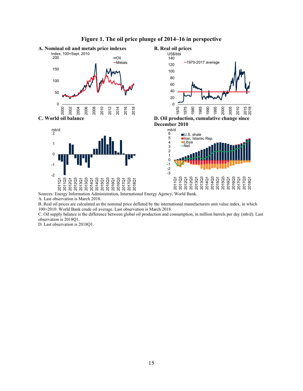

### **Figure 1. The oil price plunge of 2014–16 in perspective**

Sources: Energy Information Administration, International Energy Agency, World Bank.

A. Last observation is March 2018.

B. Real oil prices are calculated as the nominal price deflated by the international manufacturers unit value index, in which 100=2010. World Bank crude oil average. Last observation is March 2018.

C. Oil supply balance is the difference between global oil production and consumption, in million barrels per day (mb/d). Last observation is 2018Q1.

D. Last observation is 2018Q1.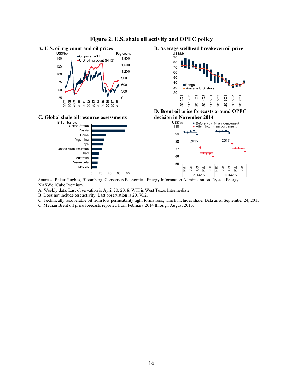

### **Figure 2. U.S. shale oil activity and OPEC policy**

NASWellCube Premium.

A. Weekly data. Last observation is April 20, 2018. WTI is West Texas Intermediate.

B. Does not include test activity. Last observation is 2017Q2.

C. Technically recoverable oil from low permeability tight formations, which includes shale. Data as of September 24, 2015.

C. Median Brent oil price forecasts reported from February 2014 through August 2015.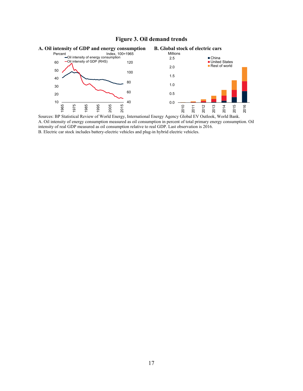### **Figure 3. Oil demand trends**



Sources: BP Statistical Review of World Energy, International Energy Agency Global EV Outlook, World Bank. A. Oil intensity of energy consumption measured as oil consumption in percent of total primary energy consumption. Oil intensity of real GDP measured as oil consumption relative to real GDP. Last observation is 2016. B. Electric car stock includes battery-electric vehicles and plug-in hybrid electric vehicles.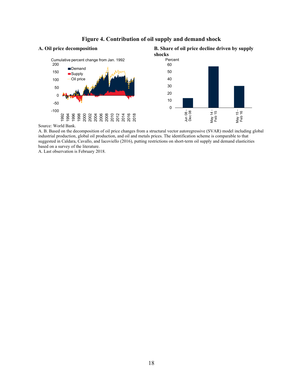

### **Figure 4. Contribution of oil supply and demand shock**

Source: World Bank.

A. B. Based on the decomposition of oil price changes from a structural vector autoregressive (SVAR) model including global industrial production, global oil production, and oil and metals prices. The identification scheme is comparable to that suggested in Caldara, Cavallo, and Iacoviello (2016), putting restrictions on short-term oil supply and demand elasticities based on a survey of the literature.

A. Last observation is February 2018.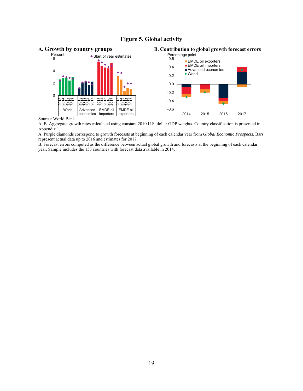### **Figure 5. Global activity**



Source: World Bank.

A. B. Aggregate growth rates calculated using constant 2010 U.S. dollar GDP weights. Country classification is presented in Appendix 1.

A. Purple diamonds correspond to growth forecasts at beginning of each calendar year from *Global Economic Prospects*. Bars represent actual data up to 2016 and estimates for 2017.

B. Forecast errors computed as the difference between actual global growth and forecasts at the beginning of each calendar year. Sample includes the 153 countries with forecast data available in 2014.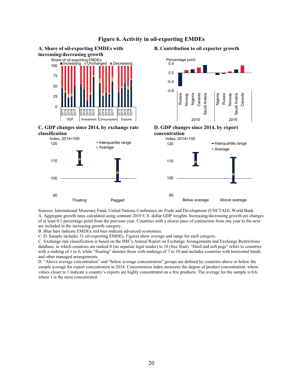

### **Figure 6. Activity in oil-exporting EMDEs**

Sources: International Monetary Fund, United Nations Conference on Trade and Development (UNCTAD), World Bank. A. Aggregate growth rates calculated using constant 2010 U.S. dollar GDP weights. Increasing/decreasing growth are changes of at least 0.1 percentage point from the previous year. Countries with a slower pace of contraction from one year to the next are included in the increasing growth category.

B. Blue bars indicate EMDEs, red bars indicate advanced economies.

C. D. Sample includes 31 oil-exporting EMDEs. Figures show average and range for each category.

C. Exchange rate classification is based on the IMF's Annual Report on Exchange Arrangements and Exchange Restrictions database, in which countries are ranked 0 (no separate legal tender) to 10 (free float). "Hard and soft pegs" refers to countries with a ranking of 1 to 6, while "floating" denotes those with rankings of 7 to 10 and includes countries with horizontal bands and other managed arrangements.

D. "Above average concentration" and "below average concentration" groups are defined by countries above or below the sample average for export concentration in 2014. Concentration index measures the degree of product concentration, where values closer to 1 indicate a country's exports are highly concentrated on a few products. The average for the sample is 0.6, where 1 is the most concentrated.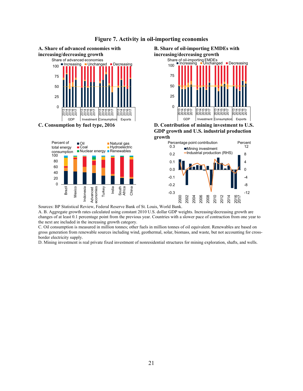

### **Figure 7. Activity in oil-importing economies**

 $\frac{1}{2}$   $\frac{1}{2}$   $\frac{1}{2}$   $\frac{1}{2}$   $\frac{1}{2}$   $\frac{1}{2}$   $\frac{1}{2}$   $\frac{1}{2}$   $\frac{1}{2}$   $\frac{1}{2}$   $\frac{1}{2}$   $\frac{1}{2}$   $\frac{1}{2}$   $\frac{1}{2}$   $\frac{1}{2}$   $\frac{1}{2}$   $\frac{1}{2}$   $\frac{1}{2}$   $\frac{1}{2}$   $\frac{1}{2}$   $\frac{1}{2}$   $\frac{1}{2}$ 

0 20

Brazil Mexico Indonesia Advanced economies Turkey India South Africa China

A. B. Aggregate growth rates calculated using constant 2010 U.S. dollar GDP weights. Increasing/decreasing growth are changes of at least 0.1 percentage point from the previous year. Countries with a slower pace of contraction from one year to the next are included in the increasing growth category.

-0.3 -0.2

2000 2002 2004 2006 2008 2010 2012 2014 នក<br>ឧត្ត -12 -8 -4

12

C. Oil consumption is measured in million tonnes; other fuels in million tonnes of oil equivalent. Renewables are based on gross generation from renewable sources including wind, geothermal, solar, biomass, and waste, but not accounting for crossborder electricity supply.

D. Mining investment is real private fixed investment of nonresidential structures for mining exploration, shafts, and wells.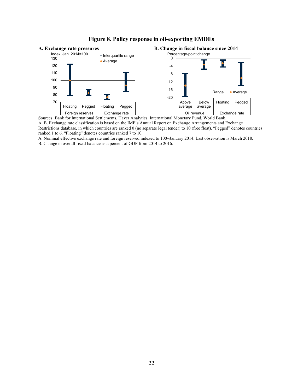

### **Figure 8. Policy response in oil-exporting EMDEs**

A. B. Exchange rate classification is based on the IMF's Annual Report on Exchange Arrangements and Exchange Restrictions database, in which countries are ranked 0 (no separate legal tender) to 10 (free float). "Pegged" denotes countries ranked 1 to 6. "Floating" denotes countries ranked 7 to 10.

A. Nominal effective exchange rate and foreign reserved indexed to 100=January 2014. Last observation is March 2018.

B. Change in overall fiscal balance as a percent of GDP from 2014 to 2016.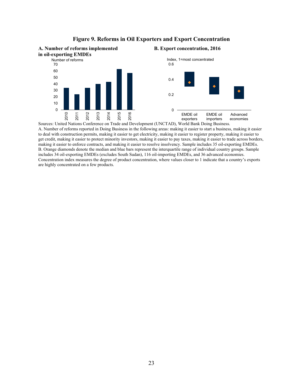

### **Figure 9. Reforms in Oil Exporters and Export Concentration**

 Sources: United Nations Conference on Trade and Development (UNCTAD), World Bank Doing Business. A. Number of reforms reported in Doing Business in the following areas: making it easier to start a business, making it easier to deal with construction permits, making it easier to get electricity, making it easier to register property, making it easier to get credit, making it easier to protect minority investors, making it easier to pay taxes, making it easier to trade across borders, making it easier to enforce contracts, and making it easier to resolve insolvency. Sample includes 35 oil-exporting EMDEs. B. Orange diamonds denote the median and blue bars represent the interquartile range of individual country groups. Sample includes 34 oil-exporting EMDEs (excludes South Sudan), 116 oil-importing EMDEs, and 36 advanced economies. Concentration index measures the degree of product concentration, where values closer to 1 indicate that a country's exports are highly concentrated on a few products.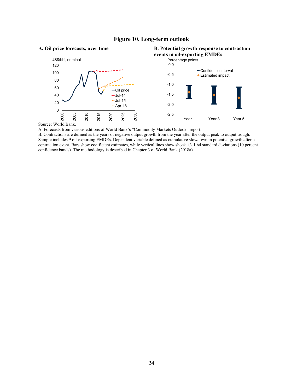### **Figure 10. Long-term outlook**



Source: World Bank.

A. Forecasts from various editions of World Bank's "Commodity Markets Outlook" report.

B. Contractions are defined as the years of negative output growth from the year after the output peak to output trough. Sample includes 9 oil-exporting EMDEs. Dependent variable defined as cumulative slowdown in potential growth after a contraction event. Bars show coefficient estimates, while vertical lines show shock +/- 1.64 standard deviations (10 percent confidence bands). The methodology is described in Chapter 3 of World Bank (2018a).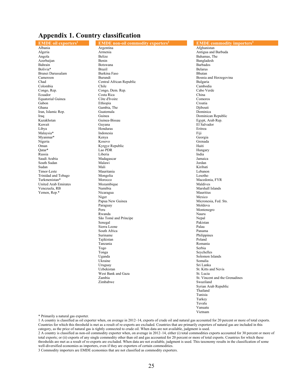### **Appendix 1. Country classification**

# **EMDE oil exporters1** South Sudan

**EMDE** non-oil commodity exporters<sup>2</sup> Albania **Argentina** Argentina Argentina Afghanistan Afghanistan Afghanistan Afghanistan Argentina Armenia and Afghanistan Afghanistan Afghanistan Afghanistan Afghanistan Afghanistan Afghanistan Afghanistan Afghanistan Afgh Algeria 1988 - Armenia 1988, Armenia and Barbuda Antigua and Barbuda Antigua and Barbuda Angola 1988. Antigua and Barbuda Angola 1988. Antigua and Barbuda Angola 1989. Antigua and Barbuda 2008. Angola 1989. Angola 1989. An Angola Bahamas, The Belize Belize and Bahamas, The Bahamas, The Bahamas, The Bahamas, The Bahamas, The Bahamas, The Bahamas, The Bahamas, The Bahamas, The Bahamas, The Bahamas, The Bahamas, The Bahamas, The Bahamas, The Ba Azerbaijan Benin Benin Benin Bangladesh Bangladesh Bangladesh Bangladesh Bangladesh Bangladesh Bangladesh Bangladesh Bahrain Botswana Barbados Bolivia\* Brazil Belarus Brunei Darussalam Burkina Faso Bhutan Cameroon Burundi Bosnia and Herzegovina Chad Central African Republic Chad Bulgaria<br>Colombia Chile Chile Chile Chile Cambodia Colombia Chile Cambodia Congo, Rep. Congo, Dem. Rep. Cabo Verde Ecuador Costa Rica China Equatorial Guinea Côte d'Ivoire Comoros Gabon Ethiopia Croatia Ghana Gambia, The Diibouti Iran, Islamic Rep. Guatemala Dominica Iraq Dominican Republic<br>
International Communican Communican Republic<br>
Communican Communican Communican Communican Republic<br>
Communican Communican Republic Kuwait Guyana El Salvador Libya Honduras Eritrea Malaysia\* Indonesia Fiji Myanmar\* Kenya Georgia Nigeria Kosovo Grenada Oman Kyrgyz Republic Haiti Qatar\* Lao PDR Hungary Russia **India** Liberia **Company Liberia** India Saudi Arabia Madagascar Jamaica Sudan Mali Kiribati Timor-Leste Mauritania Lebanon Trinidad and Tobago **Mongolia** Mongolia **Mongolia** Lesotho Macedon<br>Turkmenistan\* Morocco Macedon Morocco Macedonia, FYR<br>
Morocco Macedonia, FYR<br>
Maldives United Arab Emirates Mozambique Maldives Venezuela, RB Namibia Marshall Islands Yemen, Rep.\* Nicaragua Mauritius **Niger** Mexico Papua New Guinea **Micronesia**, Fed. Sts. Paraguay **Moldova** *Paraguay Moldova Moldova* Peru Montenegro Nauru Montenegro Nauru Nauru Nauru Nauru Nauru Nauru Nauru Nauru Nauru Nauru Nauru Nauru Nauru Rwanda Nauru São Tomé and Príncipe Nepal **Senegal** Pakistan Pakistan Pakistan Pakistan Pakistan Pakistan Pakistan Pakistan Pakistan Pakistan Pakistan Pakistan Pakistan Pakistan Pakistan Pakistan Pakistan Pakistan Pakistan Pakistan Pakistan Pakistan Pakistan Pakis  **Sierra Leone** Palau Palau Panama Palau Panama Panama Panama Panama Panama Panama Panama Panama Panama Panama Panama Panama Panama Panama Panama Panama Panama Panama Panama Panama Panama Panama Panama Panama Panama Panama **South Africa Suriname** Philippines Tajikistan Poland Tanzania Romania **Togo** Serbia **Tonga** Seychelles Uganda Solomon Islands *<u>Ukraine</u>* Somalia Uruguay Sri Lanka *Uzbekistan* St. Kitts and Nevis<br>
West Bank and Gaza West Bank and Gaza<br>Zambia *Zambia* St. Vincent and the Grenadines<br> *Swaziland* Swaziland *Zimbabwe* Swaziland

### **EMDE commodity importers3**

Egypt, Arab Rep. Syrian Arab Republic **Thailand Contains the Contains of the Contains of the Contains of the Contains of the Contains of the Contains of the Contains of the Contains of the Contains of the Contains of the Contains of the Contains of the Conta** Tunisia **Turkey** Tuvalu *Vanuatu* **Vanuatu** Vietnam

\* Primarily a natural gas exporter.

1 A country is classified as oil exporter when, on average in 2012–14, exports of crude oil and natural gas accounted for 20 percent or more of total exports. Countries for which this threshold is met as a result of re-exports are excluded. Countries that are primarily exporters of natural gas are included in this category, as the price of natural gas is tightly connected to crude oil. When data are not available, judgment is used.

2 A country is classified as non-oil commodity exporter when, on average in 2012–14, either (i) total commodities exports accounted for 30 percent or more of total exports; or (ii) exports of any single commodity other than oil and gas accounted for 20 percent or more of total exports. Countries for which these thresholds are met as a result of re-exports are excluded. When data are not available, judgment is used. This taxonomy results in the classification of some well-diversified economies as importers, even if they are exporters of certain commodities.

3 Commodity importers are EMDE economies that are not classified as commodity exporters.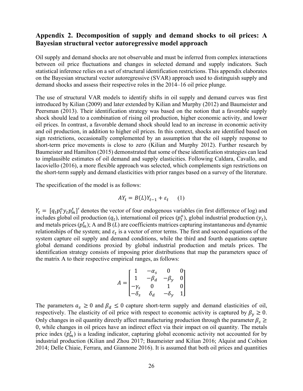### **Appendix 2. Decomposition of supply and demand shocks to oil prices: A Bayesian structural vector autoregressive model approach**

Oil supply and demand shocks are not observable and must be inferred from complex interactions between oil price fluctuations and changes in selected demand and supply indicators. Such statistical inference relies on a set of structural identification restrictions. This appendix elaborates on the Bayesian structural vector autoregressive (SVAR) approach used to distinguish supply and demand shocks and assess their respective roles in the 2014–16 oil price plunge.

The use of structural VAR models to identify shifts in oil supply and demand curves was first introduced by Kilian (2009) and later extended by Kilian and Murphy (2012) and Baumeister and Peersman (2013). Their identification strategy was based on the notion that a favorable supply shock should lead to a combination of rising oil production, higher economic activity, and lower oil prices. In contrast, a favorable demand shock should lead to an increase in economic activity and oil production, in addition to higher oil prices. In this context, shocks are identified based on sign restrictions, occasionally complemented by an assumption that the oil supply response to short-term price movements is close to zero (Kilian and Murphy 2012). Further research by Baumeister and Hamilton (2015) demonstrated that some of these identification strategies can lead to implausible estimates of oil demand and supply elasticities. Following Caldara, Cavallo, and Iacoviello (2016), a more flexible approach was selected, which complements sign restrictions on the short-term supply and demand elasticities with prior ranges based on a survey of the literature.

The specification of the model is as follows:

$$
AY_t = B(L)Y_{t-1} + \varepsilon_t \qquad (1)
$$

 $Y_t = [q_t p_t^o y_t p_m^t]'$  denotes the vector of four endogenous variables (in first difference of log) and includes global oil production  $(q_t)$ , international oil prices  $(p_t^0)$ , global industrial production  $(y_t)$ , and metals prices  $(p_m^t)$ ; A and B  $(L)$  are coefficients matrices capturing instantaneous and dynamic relationships of the system; and  $\varepsilon_t$  is a vector of error terms. The first and second equations of the system capture oil supply and demand conditions, while the third and fourth equations capture global demand conditions proxied by global industrial production and metals prices. The identification strategy consists of imposing prior distributions that map the parameters space of the matrix A to their respective empirical ranges, as follows:

$$
A = \begin{bmatrix} 1 & -\alpha_s & 0 & 0 \\ 1 & -\beta_d & -\beta_y & 0 \\ -\gamma_s & 0 & 1 & 0 \\ -\delta_s & \delta_d & -\delta_y & 1 \end{bmatrix}
$$

The parameters  $a_s \ge 0$  and  $\beta_d \le 0$  capture short-term supply and demand elasticities of oil, respectively. The elasticity of oil price with respect to economic activity is captured by  $\beta_y \ge 0$ . Only changes in oil quantity directly affect manufacturing production through the parameter  $\beta_s \geq$ 0, while changes in oil prices have an indirect effect via their impact on oil quantity. The metals price index  $(p_m^t)$  is a leading indicator, capturing global economic activity not accounted for by industrial production (Kilian and Zhou 2017; Baumeister and Kilian 2016; Alquist and Coibion 2014; Delle Chiaie, Ferrara, and Giannone 2016). It is assumed that both oil prices and quantities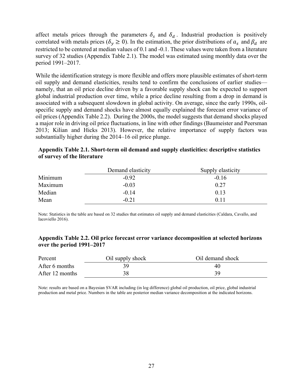affect metals prices through the parameters  $\delta_s$  and  $\delta_d$ . Industrial production is positively correlated with metals prices ( $\delta_y \ge 0$ ). In the estimation, the prior distributions of  $a_s$  and  $\beta_d$  are restricted to be centered at median values of 0.1 and -0.1. These values were taken from a literature survey of 32 studies (Appendix Table 2.1). The model was estimated using monthly data over the period 1991–2017.

While the identification strategy is more flexible and offers more plausible estimates of short-term oil supply and demand elasticities, results tend to confirm the conclusions of earlier studies namely, that an oil price decline driven by a favorable supply shock can be expected to support global industrial production over time, while a price decline resulting from a drop in demand is associated with a subsequent slowdown in global activity. On average, since the early 1990s, oilspecific supply and demand shocks have almost equally explained the forecast error variance of oil prices (Appendix Table 2.2). During the 2000s, the model suggests that demand shocks played a major role in driving oil price fluctuations, in line with other findings (Baumeister and Peersman 2013; Kilian and Hicks 2013). However, the relative importance of supply factors was substantially higher during the 2014–16 oil price plunge.

|         | Demand elasticity | Supply elasticity |
|---------|-------------------|-------------------|
| Minimum | $-0.92$           | $-0.16$           |
| Maximum | $-0.03$           | 0.27              |
| Median  | $-0.14$           | 0.13              |
| Mean    | $-0.21$           | 0.11              |

### **Appendix Table 2.1. Short-term oil demand and supply elasticities: descriptive statistics of survey of the literature**

Note: Statistics in the table are based on 32 studies that estimates oil supply and demand elasticities (Caldara, Cavallo, and Iacoviello 2016).

### **Appendix Table 2.2. Oil price forecast error variance decomposition at selected horizons over the period 1991–2017**

| Percent         | Oil supply shock | Oil demand shock |
|-----------------|------------------|------------------|
| After 6 months  | 39               | 40               |
| After 12 months | 38               | 39               |

Note: results are based on a Bayesian SVAR including (in log difference) global oil production, oil price, global industrial production and metal price. Numbers in the table are posterior median variance decomposition at the indicated horizons.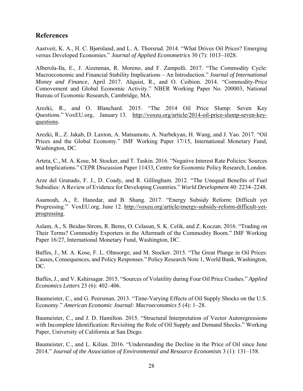## **References**

Aastveit, K. A., H. C. Bjørnland, and L. A. Thorsrud. 2014. "What Drives Oil Prices? Emerging versus Developed Economies." *Journal of Applied Econometrics* 30 (7): 1013–1028.

Alberola-Ila, E., J. Aizenman, R. Moreno, and F. Zampolli. 2017. "The Commodity Cycle: Macroeconomic and Financial Stability Implications – An Introduction." *Journal of International Money and Finance*, April 2017. Alquist, R., and O. Coibion. 2014. "Commodity-Price Comovement and Global Economic Activity." NBER Working Paper No. 200003, National Bureau of Economic Research, Cambridge, MA.

Arezki, R., and O. Blanchard. 2015. "The 2014 Oil Price Slump: Seven Key Questions." VoxEU.org, January 13. http://voxeu.org/article/2014-oil-price-slump-seven-keyquestions.

Arezki, R., Z. Jakab, D. Laxton, A. Matsumoto, A. Nurbekyan, H. Wang, and J. Yao. 2017. "Oil Prices and the Global Economy." IMF Working Paper 17/15, International Monetary Fund, Washington, DC.

Arteta, C., M. A. Kose, M. Stocker, and T. Taskin. 2016. "Negative Interest Rate Policies: Sources and Implications." CEPR Discussion Paper 11433, Centre for Economic Policy Research, London.

Arze del Granado, F. J., D. Coady, and R. Gillingham. 2012. "The Unequal Benefits of Fuel Subsidies: A Review of Evidence for Developing Countries." *World Development* 40: 2234–2248.

Asamoah, A., E. Hanedar, and B. Shang. 2017. "Energy Subsidy Reform: Difficult yet Progressing." VoxEU.org, June 12. http://voxeu.org/article/energy-subsidy-reform-difficult-yetprogressing.

Aslam, A., S. Beidas-Strom, R. Bems, O. Celasun, S. K. Celik, and Z. Koczan. 2016. "Trading on Their Terms? Commodity Exporters in the Aftermath of the Commodity Boom." IMF Working Paper 16/27, International Monetary Fund, Washington, DC.

Baffes, J., M. A. Kose, F. L. Ohnsorge, and M. Stocker. 2015. "The Great Plunge in Oil Prices: Causes, Consequences, and Policy Responses." Policy Research Note 1, World Bank, Washington, DC.

Baffes, J., and V. Kshirsagar. 2015. "Sources of Volatility during Four Oil Price Crashes." *Applied Economics Letters* 23 (6): 402–406.

Baumeister, C., and G. Peersman. 2013. "Time-Varying Effects of Oil Supply Shocks on the U.S. Economy." *American Economic Journal: Macroeconomics* 5 (4): 1–28.

Baumeister, C., and J. D. Hamilton. 2015. "Structural Interpretation of Vector Autoregressions with Incomplete Identification: Revisiting the Role of Oil Supply and Demand Shocks." Working Paper, University of California at San Diego.

Baumeister, C., and L. Kilian. 2016. "Understanding the Decline in the Price of Oil since June 2014." *Journal of the Association of Environmental and Resource Economists* 3 (1): 131–158.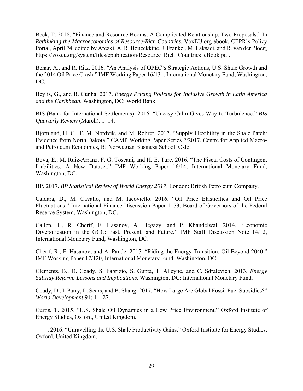Beck, T. 2018. "Finance and Resource Booms: A Complicated Relationship. Two Proposals." In *Rethinking the Macroeconomics of Resource-Rich Countries*. VoxEU.org ebook, CEPR's Policy Portal, April 24, edited by Arezki, A, R. Boucekkine, J. Frankel, M. Laksaci, and R. van der Ploeg, https://voxeu.org/system/files/epublication/Resource\_Rich\_Countries\_eBook.pdf.

Behar, A., and R. Ritz. 2016. "An Analysis of OPEC's Strategic Actions, U.S. Shale Growth and the 2014 Oil Price Crash." IMF Working Paper 16/131, International Monetary Fund, Washington, DC.

Beylis, G., and B. Cunha. 2017. *Energy Pricing Policies for Inclusive Growth in Latin America and the Caribbean*. Washington, DC: World Bank.

BIS (Bank for International Settlements). 2016. "Uneasy Calm Gives Way to Turbulence." *BIS Quarterly Review* (March): 1–14.

Bjørnland, H. C., F. M. Nordvik, and M. Rohrer. 2017. "Supply Flexibility in the Shale Patch: Evidence from North Dakota." CAMP Working Paper Series 2/2017, Centre for Applied Macroand Petroleum Economics, BI Norwegian Business School, Oslo.

Bova, E., M. Ruiz-Arranz, F. G. Toscani, and H. E. Ture. 2016. "The Fiscal Costs of Contingent Liabilities: A New Dataset." IMF Working Paper 16/14, International Monetary Fund, Washington, DC.

BP. 2017. *BP Statistical Review of World Energy 2017*. London: British Petroleum Company.

Caldara, D., M. Cavallo, and M. Iacoviello. 2016. "Oil Price Elasticities and Oil Price Fluctuations." International Finance Discussion Paper 1173, Board of Governors of the Federal Reserve System, Washington, DC.

Callen, T., R. Cherif, F. Hasanov, A. Hegazy, and P. Khandelwal. 2014. "Economic Diversification in the GCC: Past, Present, and Future." IMF Staff Discussion Note 14/12, International Monetary Fund, Washington, DC.

Cherif, R., F. Hasanov, and A. Pande. 2017. "Riding the Energy Transition: Oil Beyond 2040." IMF Working Paper 17/120, International Monetary Fund, Washington, DC.

Clements, B., D. Coady, S. Fabrizio, S. Gupta, T. Alleyne, and C. Sdralevich. 2013. *Energy Subsidy Reform: Lessons and Implications.* Washington, DC: International Monetary Fund.

Coady, D., I. Parry, L. Sears, and B. Shang. 2017. "How Large Are Global Fossil Fuel Subsidies?" *World Development* 91: 11–27.

Curtis, T. 2015. "U.S. Shale Oil Dynamics in a Low Price Environment." Oxford Institute of Energy Studies, Oxford, United Kingdom.

——. 2016. "Unravelling the U.S. Shale Productivity Gains." Oxford Institute for Energy Studies, Oxford, United Kingdom.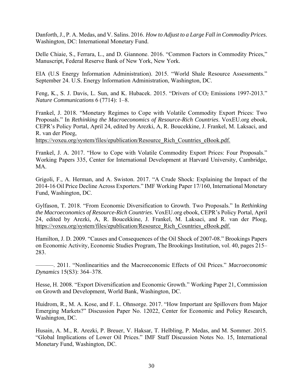Danforth, J., P. A. Medas, and V. Salins. 2016. *How to Adjust to a Large Fall in Commodity Prices*. Washington, DC: International Monetary Fund.

Delle Chiaie, S., Ferrara, L., and D. Giannone. 2016. "Common Factors in Commodity Prices," Manuscript, Federal Reserve Bank of New York, New York.

EIA (U.S Energy Information Administration). 2015. "World Shale Resource Assessments." September 24. U.S. Energy Information Administration, Washington, DC.

Feng, K., S. J. Davis, L. Sun, and K. Hubacek. 2015. "Drivers of CO2 Emissions 1997-2013." *Nature Communications* 6 (7714): 1–8.

Frankel, J. 2018. "Monetary Regimes to Cope with Volatile Commodity Export Prices: Two Proposals." In *Rethinking the Macroeconomics of Resource-Rich Countries*. VoxEU.org ebook, CEPR's Policy Portal, April 24, edited by Arezki, A, R. Boucekkine, J. Frankel, M. Laksaci, and R. van der Ploeg,

https://voxeu.org/system/files/epublication/Resource\_Rich\_Countries\_eBook.pdf.

Frankel, J. A. 2017. "How to Cope with Volatile Commodity Export Prices: Four Proposals." Working Papers 335, Center for International Development at Harvard University, Cambridge, MA.

Grigoli, F., A. Herman, and A. Swiston. 2017. "A Crude Shock: Explaining the Impact of the 2014-16 Oil Price Decline Across Exporters." IMF Working Paper 17/160, International Monetary Fund, Washington, DC.

Gylfason, T. 2018. "From Economic Diversification to Growth. Two Proposals." In *Rethinking the Macroeconomics of Resource-Rich Countries*. VoxEU.org ebook, CEPR's Policy Portal, April 24, edited by Arezki, A, R. Boucekkine, J. Frankel, M. Laksaci, and R. van der Ploeg, https://voxeu.org/system/files/epublication/Resource\_Rich\_Countries\_eBook.pdf.

Hamilton, J. D. 2009. "Causes and Consequences of the Oil Shock of 2007-08." Brookings Papers on Economic Activity, Economic Studies Program, The Brookings Institution, vol. 40, pages 215– 283.

———. 2011. "Nonlinearities and the Macroeconomic Effects of Oil Prices." *Macroeconomic Dynamics* 15(S3): 364–378.

Hesse, H. 2008. "Export Diversification and Economic Growth." Working Paper 21, Commission on Growth and Development, World Bank, Washington, DC.

Huidrom, R., M. A. Kose, and F. L. Ohnsorge. 2017. "How Important are Spillovers from Major Emerging Markets?" Discussion Paper No. 12022, Center for Economic and Policy Research, Washington, DC.

Husain, A. M., R. Arezki, P. Breuer, V. Haksar, T. Helbling, P. Medas, and M. Sommer. 2015. "Global Implications of Lower Oil Prices." IMF Staff Discussion Notes No. 15, International Monetary Fund, Washington, DC.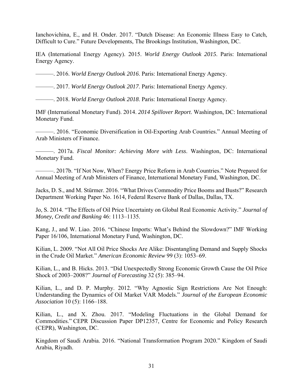Ianchovichina, E., and H. Onder. 2017. "Dutch Disease: An Economic Illness Easy to Catch, Difficult to Cure." Future Developments, The Brookings Institution, Washington, DC.

IEA (International Energy Agency). 2015. *World Energy Outlook 2015*. Paris: International Energy Agency.

———. 2016. *World Energy Outlook 2016*. Paris: International Energy Agency.

———. 2017. *World Energy Outlook 2017*. Paris: International Energy Agency.

———. 2018. *World Energy Outlook 2018*. Paris: International Energy Agency.

IMF (International Monetary Fund). 2014. *2014 Spillover Report*. Washington, DC: International Monetary Fund.

———. 2016. "Economic Diversification in Oil-Exporting Arab Countries." Annual Meeting of Arab Ministers of Finance.

———. 2017a. *Fiscal Monitor: Achieving More with Less*. Washington, DC: International Monetary Fund.

———. 2017b. "If Not Now, When? Energy Price Reform in Arab Countries." Note Prepared for Annual Meeting of Arab Ministers of Finance, International Monetary Fund, Washington, DC.

Jacks, D. S., and M. Stürmer. 2016. "What Drives Commodity Price Booms and Busts?" Research Department Working Paper No. 1614, Federal Reserve Bank of Dallas, Dallas, TX.

Jo, S. 2014. "The Effects of Oil Price Uncertainty on Global Real Economic Activity." *Journal of Money, Credit and Banking* 46: 1113–1135.

Kang, J., and W. Liao. 2016. "Chinese Imports: What's Behind the Slowdown?" IMF Working Paper 16/106, International Monetary Fund, Washington, DC.

Kilian, L. 2009. "Not All Oil Price Shocks Are Alike: Disentangling Demand and Supply Shocks in the Crude Oil Market." *American Economic Review* 99 (3): 1053–69.

Kilian, L., and B. Hicks. 2013. "Did Unexpectedly Strong Economic Growth Cause the Oil Price Shock of 2003–2008?" *Journal of Forecasting* 32 (5): 385–94.

Kilian, L., and D. P. Murphy. 2012. "Why Agnostic Sign Restrictions Are Not Enough: Understanding the Dynamics of Oil Market VAR Models." *Journal of the European Economic Association* 10 (5): 1166–188.

Kilian, L., and X. Zhou. 2017. "Modeling Fluctuations in the Global Demand for Commodities." CEPR Discussion Paper DP12357, Centre for Economic and Policy Research (CEPR), Washington, DC.

Kingdom of Saudi Arabia. 2016. "National Transformation Program 2020." Kingdom of Saudi Arabia, Riyadh.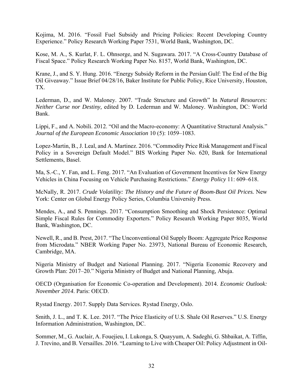Kojima, M. 2016. "Fossil Fuel Subsidy and Pricing Policies: Recent Developing Country Experience." Policy Research Working Paper 7531, World Bank, Washington, DC.

Kose, M. A., S. Kurlat, F. L. Ohnsorge, and N. Sugawara. 2017. "A Cross-Country Database of Fiscal Space." Policy Research Working Paper No. 8157, World Bank, Washington, DC.

Krane, J., and S. Y. Hung. 2016. "Energy Subsidy Reform in the Persian Gulf: The End of the Big Oil Giveaway." Issue Brief 04/28/16, Baker Institute for Public Policy, Rice University, Houston, TX.

Lederman, D., and W. Maloney. 2007. "Trade Structure and Growth" In *Natural Resources: Neither Curse nor Destiny,* edited by D. Lederman and W. Maloney. Washington, DC: World Bank.

Lippi, F., and A. Nobili. 2012. "Oil and the Macro-economy: A Quantitative Structural Analysis." *Journal of the European Economic Association* 10 (5): 1059–1083.

Lopez-Martin, B., J. Leal, and A. Martinez. 2016. "Commodity Price Risk Management and Fiscal Policy in a Sovereign Default Model." BIS Working Paper No. 620, Bank for International Settlements, Basel.

Ma, S.-C., Y. Fan, and L. Feng. 2017. "An Evaluation of Government Incentives for New Energy Vehicles in China Focusing on Vehicle Purchasing Restrictions." *Energy Policy* 11: 609–618.

McNally, R. 2017. *Crude Volatility: The History and the Future of Boom-Bust Oil Prices.* New York: Center on Global Energy Policy Series, Columbia University Press.

Mendes, A., and S. Pennings. 2017. "Consumption Smoothing and Shock Persistence: Optimal Simple Fiscal Rules for Commodity Exporters." Policy Research Working Paper 8035, World Bank, Washington, DC.

Newell, R., and B. Prest, 2017. "The Unconventional Oil Supply Boom: Aggregate Price Response from Microdata." NBER Working Paper No. 23973, National Bureau of Economic Research, Cambridge, MA.

Nigeria Ministry of Budget and National Planning. 2017. "Nigeria Economic Recovery and Growth Plan: 2017–20." Nigeria Ministry of Budget and National Planning, Abuja.

OECD (Organisation for Economic Co-operation and Development). 2014. *Economic Outlook: November 2014*. Paris: OECD.

Rystad Energy. 2017. Supply Data Services. Rystad Energy, Oslo.

Smith, J. L., and T. K. Lee. 2017. "The Price Elasticity of U.S. Shale Oil Reserves." U.S. Energy Information Administration, Washington, DC.

Sommer, M., G. Auclair, A. Fouejieu, I. Lukonga, S. Quayyum, A. Sadeghi, G. Shbaikat, A. Tiffin, J. Trevino, and B. Versailles. 2016. "Learning to Live with Cheaper Oil: Policy Adjustment in Oil